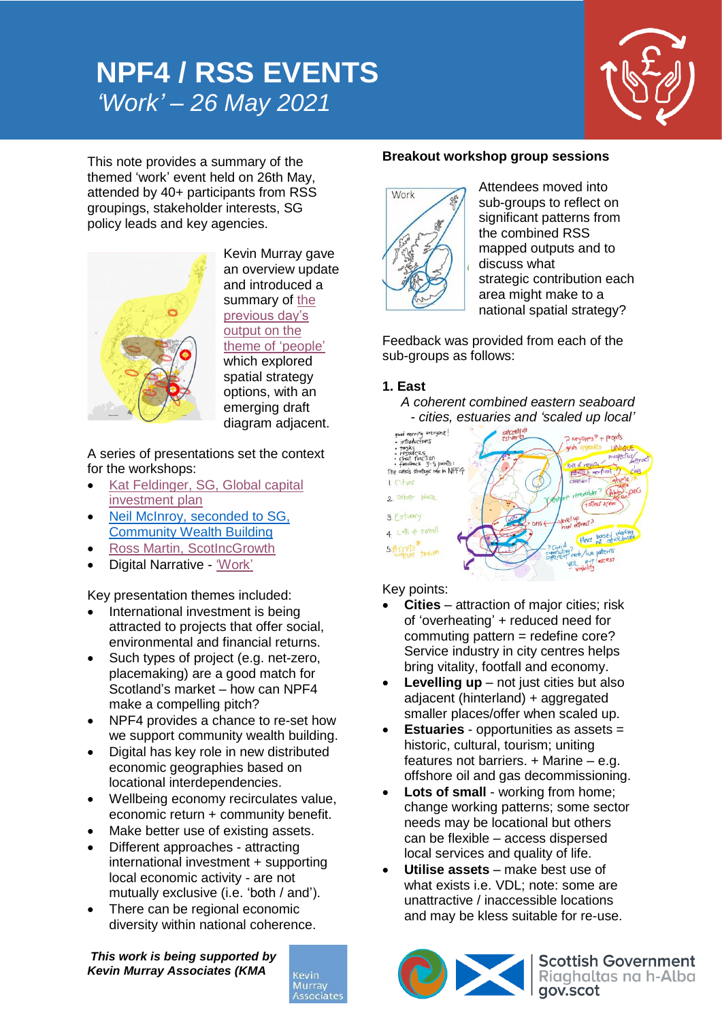# **NPF4 / RSS EVENTS** *'Work' – 26 May 2021*



This note provides a summary of the themed 'work' event held on 26th May, attended by 40+ participants from RSS groupings, stakeholder interests, SG policy leads and key agencies.



Kevin Murray gave an overview update and introduced a summary of [the](https://kmaglasgow-my.sharepoint.com/:v:/g/personal/rim_kevinmurrayassociates_com/ESntDGMW351DjHoBjb1JBGsB3leU3yextXJKsW8eAIO5MA?e=KfJmjH)  [previous day's](https://kmaglasgow-my.sharepoint.com/:v:/g/personal/rim_kevinmurrayassociates_com/ESntDGMW351DjHoBjb1JBGsB3leU3yextXJKsW8eAIO5MA?e=KfJmjH)  [output](https://kmaglasgow-my.sharepoint.com/:v:/g/personal/rim_kevinmurrayassociates_com/ESntDGMW351DjHoBjb1JBGsB3leU3yextXJKsW8eAIO5MA?e=KfJmjH) on the [theme of](https://kmaglasgow-my.sharepoint.com/:v:/g/personal/rim_kevinmurrayassociates_com/ESntDGMW351DjHoBjb1JBGsB3leU3yextXJKsW8eAIO5MA?e=KfJmjH) 'people' which explored

spatial strategy options, with an emerging draft diagram adjacent.

A series of presentations set the context for the workshops:

- Kat Feldinger, [SG, Global capital](https://kmaglasgow-my.sharepoint.com/:v:/g/personal/rim_kevinmurrayassociates_com/ES9tz7BBPvZGgf-IlhgAtr4B__Z69-H-HfLfOA8278JOUA?e=KfHzGq)  [investment plan](https://kmaglasgow-my.sharepoint.com/:v:/g/personal/rim_kevinmurrayassociates_com/ES9tz7BBPvZGgf-IlhgAtr4B__Z69-H-HfLfOA8278JOUA?e=KfHzGq)
- Neil McInroy, [seconded to SG,](https://kmaglasgow-my.sharepoint.com/:v:/g/personal/rim_kevinmurrayassociates_com/EcC4zgzVIaJIg5V50e9PtmYBdEagKkTpoJln_N_eP5e4NA?e=XDe8J5)  [Community Wealth Building](https://kmaglasgow-my.sharepoint.com/:v:/g/personal/rim_kevinmurrayassociates_com/EcC4zgzVIaJIg5V50e9PtmYBdEagKkTpoJln_N_eP5e4NA?e=XDe8J5)
- [Ross Martin, ScotIncGrowth](https://kmaglasgow-my.sharepoint.com/:v:/g/personal/rim_kevinmurrayassociates_com/ER0zAHnYms1LhSB1WniHp5kBqY2Dsy9t27eIvyfxjOm-_w?e=gWfwwU)
- Digital Narrative ['Work'](https://kmaglasgow-my.sharepoint.com/:v:/g/personal/rim_kevinmurrayassociates_com/EZ6iJZXFTIBDt_C2hT9TkR8Bf3YhtFHtx1OIzstP3k6NBw?e=10cL8g)

Key presentation themes included:

- International investment is being attracted to projects that offer social, environmental and financial returns.
- Such types of project (e.g. net-zero, placemaking) are a good match for Scotland's market – how can NPF4 make a compelling pitch?
- NPF4 provides a chance to re-set how we support community wealth building.
- Digital has key role in new distributed economic geographies based on locational interdependencies.
- Wellbeing economy recirculates value, economic return + community benefit.
- Make better use of existing assets.
- Different approaches attracting international investment + supporting local economic activity - are not mutually exclusive (i.e. 'both / and').
- There can be regional economic diversity within national coherence.

*This work is being supported by Kevin Murray Associates (KMA*



#### **Breakout workshop group sessions**



Attendees moved into sub-groups to reflect on significant patterns from the combined RSS mapped outputs and to discuss what strategic contribution each area might make to a national spatial strategy?

Feedback was provided from each of the sub-groups as follows:

## **1. East**

*A coherent combined eastern seaboard* 



## Key points:

- **Cities** attraction of major cities; risk of 'overheating' + reduced need for commuting pattern = redefine core? Service industry in city centres helps bring vitality, footfall and economy.
- **Levelling up** not just cities but also adjacent (hinterland) + aggregated smaller places/offer when scaled up.
- **Estuaries** opportunities as assets = historic, cultural, tourism; uniting features not barriers.  $+$  Marine – e.g. offshore oil and gas decommissioning.
- **Lots of small** working from home; change working patterns; some sector needs may be locational but others can be flexible – access dispersed local services and quality of life.
- **Utilise assets** make best use of what exists i.e. VDL; note: some are unattractive / inaccessible locations and may be kless suitable for re-use.

CIX